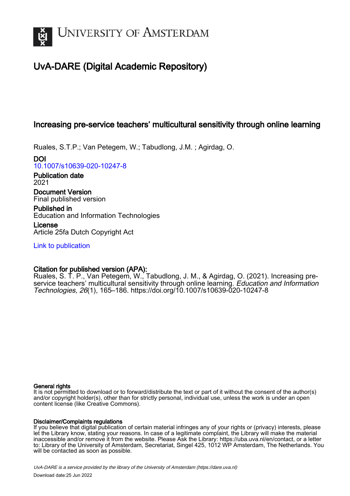

# UvA-DARE (Digital Academic Repository)

# Increasing pre-service teachers' multicultural sensitivity through online learning

Ruales, S.T.P.; Van Petegem, W.; Tabudlong, J.M. ; Agirdag, O.

DOI [10.1007/s10639-020-10247-8](https://doi.org/10.1007/s10639-020-10247-8)

Publication date 2021

Document Version Final published version

Published in Education and Information Technologies

License Article 25fa Dutch Copyright Act

[Link to publication](https://dare.uva.nl/personal/pure/en/publications/increasing-preservice-teachers-multicultural-sensitivity-through-online-learning(e3cd2268-d876-4959-aec6-f406b1ea7a61).html)

## Citation for published version (APA):

Ruales, S. T. P., Van Petegem, W., Tabudlong, J. M., & Agirdag, O. (2021). Increasing preservice teachers' multicultural sensitivity through online learning. Education and Information Technologies, 26(1), 165–186.<https://doi.org/10.1007/s10639-020-10247-8>

## General rights

It is not permitted to download or to forward/distribute the text or part of it without the consent of the author(s) and/or copyright holder(s), other than for strictly personal, individual use, unless the work is under an open content license (like Creative Commons).

## Disclaimer/Complaints regulations

If you believe that digital publication of certain material infringes any of your rights or (privacy) interests, please let the Library know, stating your reasons. In case of a legitimate complaint, the Library will make the material inaccessible and/or remove it from the website. Please Ask the Library: https://uba.uva.nl/en/contact, or a letter to: Library of the University of Amsterdam, Secretariat, Singel 425, 1012 WP Amsterdam, The Netherlands. You will be contacted as soon as possible.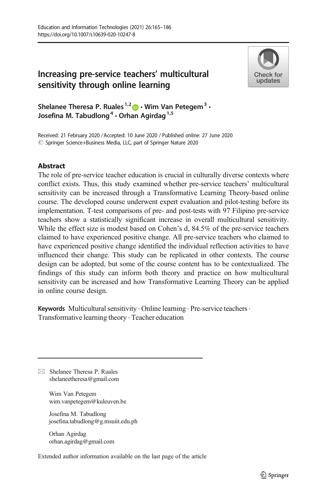## Increasing pre-service teachers' multicultural sensitivity through online learning



Shelanee Theresa P. Ruales<sup>1,2</sup>  $\bullet \cdot$  Wim Van Petegem<sup>3</sup>  $\cdot$ Josefina M. Tabudlong<sup>4</sup>  $\cdot$  Orhan Agirdag<sup>1,5</sup>

Received: 21 February 2020 / Accepted: 10 June 2020 / Published online: 27 June 2020 $\odot$  Springer Science+Business Media, LLC, part of Springer Nature 2020

## **Abstract**

The role of pre-service teacher education is crucial in culturally diverse contexts where conflict exists. Thus, this study examined whether pre-service teachers' multicultural sensitivity can be increased through a Transformative Learning Theory-based online course. The developed course underwent expert evaluation and pilot-testing before its implementation. T-test comparisons of pre- and post-tests with 97 Filipino pre-service teachers show a statistically significant increase in overall multicultural sensitivity. While the effect size is modest based on Cohen's d, 84.5% of the pre-service teachers claimed to have experienced positive change. All pre-service teachers who claimed to have experienced positive change identified the individual reflection activities to have influenced their change. This study can be replicated in other contexts. The course design can be adopted, but some of the course content has to be contextualized. The findings of this study can inform both theory and practice on how multicultural sensitivity can be increased and how Transformative Learning Theory can be applied in online course design.

Keywords Multicultural sensitivity · Online learning · Pre-service teachers · Transformative learning theory . Teacher education

 $\boxtimes$  Shelanee Theresa P. Ruales [shelaneetheresa@gmail.com](mailto:shelaneetheresa@gmail.com)

> Wim Van Petegem wim.vanpetegem@kuleuven.be

Josefina M. Tabudlong josefina.tabudlong@g.msuiit.edu.ph

Orhan Agirdag orhan.agirdag@gmail.com

Extended author information available on the last page of the article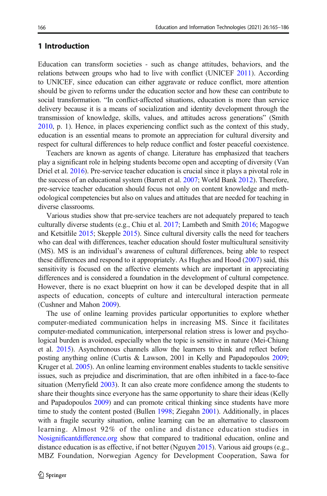## 1 Introduction

Education can transform societies - such as change attitudes, behaviors, and the relations between groups who had to live with conflict (UNICEF [2011](#page-22-0)). According to UNICEF, since education can either aggravate or reduce conflict, more attention should be given to reforms under the education sector and how these can contribute to social transformation. "In conflict-affected situations, education is more than service delivery because it is a means of socialization and identity development through the transmission of knowledge, skills, values, and attitudes across generations" (Smith [2010,](#page-21-0) p. 1). Hence, in places experiencing conflict such as the context of this study, education is an essential means to promote an appreciation for cultural diversity and respect for cultural differences to help reduce conflict and foster peaceful coexistence.

Teachers are known as agents of change. Literature has emphasized that teachers play a significant role in helping students become open and accepting of diversity (Van Driel et al. [2016\)](#page-22-0). Pre-service teacher education is crucial since it plays a pivotal role in the success of an educational system (Barrett et al. [2007;](#page-19-0) World Bank [2012](#page-22-0)). Therefore, pre-service teacher education should focus not only on content knowledge and methodological competencies but also on values and attitudes that are needed for teaching in diverse classrooms.

Various studies show that pre-service teachers are not adequately prepared to teach culturally diverse students (e.g., Chiu et al. [2017;](#page-19-0) Lambeth and Smith [2016](#page-20-0); Magogwe and Ketsitlile [2015;](#page-21-0) Skepple [2015\)](#page-21-0). Since cultural diversity calls the need for teachers who can deal with differences, teacher education should foster multicultural sensitivity (MS). MS is an individual's awareness of cultural differences, being able to respect these differences and respond to it appropriately. As Hughes and Hood [\(2007\)](#page-20-0) said, this sensitivity is focused on the affective elements which are important in appreciating differences and is considered a foundation in the development of cultural competence. However, there is no exact blueprint on how it can be developed despite that in all aspects of education, concepts of culture and intercultural interaction permeate (Cushner and Mahon [2009\)](#page-20-0).

The use of online learning provides particular opportunities to explore whether computer-mediated communication helps in increasing MS. Since it facilitates computer-mediated communication, interpersonal relation stress is lower and psychological burden is avoided, especially when the topic is sensitive in nature (Mei-Chiung et al. [2015](#page-21-0)). Asynchronous channels allow the learners to think and reflect before posting anything online (Curtis & Lawson, 2001 in Kelly and Papadopoulos [2009;](#page-20-0) Kruger et al. [2005\)](#page-20-0). An online learning environment enables students to tackle sensitive issues, such as prejudice and discrimination, that are often inhibited in a face-to-face situation (Merryfield [2003\)](#page-21-0). It can also create more confidence among the students to share their thoughts since everyone has the same opportunity to share their ideas (Kelly and Papadopoulos [2009](#page-20-0)) and can promote critical thinking since students have more time to study the content posted (Bullen [1998](#page-19-0); Ziegahn [2001](#page-22-0)). Additionally, in places with a fragile security situation, online learning can be an alternative to classroom learning. Almost 92% of the online and distance education studies in [Nosignificantdifference.org](https://doi.org/http://nosignificantdifference.org) show that compared to traditional education, online and distance education is as effective, if not better (Nguyen [2015\)](#page-21-0). Various aid groups (e.g., MBZ Foundation, Norwegian Agency for Development Cooperation, Sawa for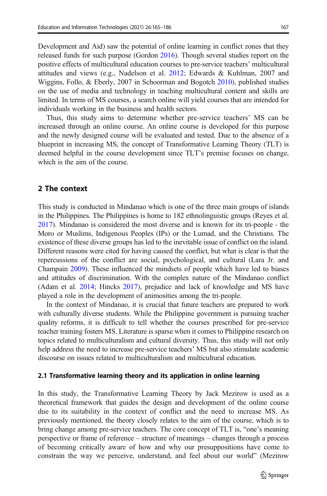individuals working in the business and health sectors.

Development and Aid) saw the potential of online learning in conflict zones that they released funds for such purpose (Gordon [2016](#page-20-0)). Though several studies report on the positive effects of multicultural education courses to pre-service teachers' multicultural attitudes and views (e.g., Nadelson et al. [2012](#page-21-0); Edwards & Kuhlman, 2007 and Wiggins, Follo, & Eberly, 2007 in Schoorman and Bogotch [2010\)](#page-21-0), published studies on the use of media and technology in teaching multicultural content and skills are limited. In terms of MS courses, a search online will yield courses that are intended for

Thus, this study aims to determine whether pre-service teachers' MS can be increased through an online course. An online course is developed for this purpose and the newly designed course will be evaluated and tested. Due to the absence of a blueprint in increasing MS, the concept of Transformative Learning Theory (TLT) is deemed helpful in the course development since TLT's premise focuses on change, which is the aim of the course.

#### 2 The context

This study is conducted in Mindanao which is one of the three main groups of islands in the Philippines. The Philippines is home to 182 ethnolinguistic groups (Reyes et al. [2017\)](#page-21-0). Mindanao is considered the most diverse and is known for its tri-people - the Moro or Muslims, Indigenous Peoples (IPs) or the Lumad, and the Christians. The existence of these diverse groups has led to the inevitable issue of conflict on the island. Different reasons were cited for having caused the conflict, but what is clear is that the repercussions of the conflict are social, psychological, and cultural (Lara Jr. and Champain [2009](#page-21-0)). These influenced the mindsets of people which have led to biases and attitudes of discrimination. With the complex nature of the Mindanao conflict (Adam et al. [2014;](#page-19-0) Hincks [2017\)](#page-20-0), prejudice and lack of knowledge and MS have played a role in the development of animosities among the tri-people.

In the context of Mindanao, it is crucial that future teachers are prepared to work with culturally diverse students. While the Philippine government is pursuing teacher quality reforms, it is difficult to tell whether the courses prescribed for pre-service teacher training fosters MS. Literature is sparse when it comes to Philippine research on topics related to multiculturalism and cultural diversity. Thus, this study will not only help address the need to increase pre-service teachers' MS but also stimulate academic discourse on issues related to multiculturalism and multicultural education.

#### 2.1 Transformative learning theory and its application in online learning

In this study, the Transformative Learning Theory by Jack Mezirow is used as a theoretical framework that guides the design and development of the online course due to its suitability in the context of conflict and the need to increase MS. As previously mentioned, the theory closely relates to the aim of the course, which is to bring change among pre-service teachers. The core concept of TLT is, "one's meaning perspective or frame of reference – structure of meanings – changes through a process of becoming critically aware of how and why our presuppositions have come to constrain the way we perceive, understand, and feel about our world" (Mezirow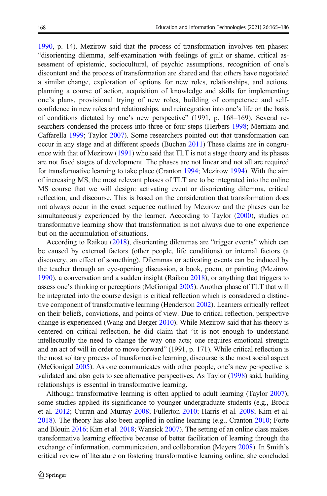[1990,](#page-21-0) p. 14). Mezirow said that the process of transformation involves ten phases: "disorienting dilemma, self-examination with feelings of guilt or shame, critical assessment of epistemic, sociocultural, of psychic assumptions, recognition of one's discontent and the process of transformation are shared and that others have negotiated a similar change, exploration of options for new roles, relationships, and actions, planning a course of action, acquisition of knowledge and skills for implementing one's plans, provisional trying of new roles, building of competence and selfconfidence in new roles and relationships, and reintegration into one's life on the basis of conditions dictated by one's new perspective" (1991, p. 168–169). Several researchers condensed the process into three or four steps (Herbers [1998](#page-20-0); Merriam and Caffarella [1999](#page-21-0); Taylor [2007](#page-22-0)). Some researchers pointed out that transformation can occur in any stage and at different speeds (Buchan [2011\)](#page-19-0) These claims are in congruence with that of Mezirow ([1991](#page-21-0)) who said that TLT is not a stage theory and its phases are not fixed stages of development. The phases are not linear and not all are required for transformative learning to take place (Cranton [1994](#page-20-0); Mezirow [1994\)](#page-21-0). With the aim of increasing MS, the most relevant phases of TLT are to be integrated into the online MS course that we will design: activating event or disorienting dilemma, critical reflection, and discourse. This is based on the consideration that transformation does not always occur in the exact sequence outlined by Mezirow and the phases can be simultaneously experienced by the learner. According to Taylor [\(2000\)](#page-22-0), studies on transformative learning show that transformation is not always due to one experience but on the accumulation of situations.

According to Raikou [\(2018\)](#page-21-0), disorienting dilemmas are "trigger events" which can be caused by external factors (other people, life conditions) or internal factors (a discovery, an effect of something). Dilemmas or activating events can be induced by the teacher through an eye-opening discussion, a book, poem, or painting (Mezirow [1990\)](#page-21-0), a conversation and a sudden insight (Raikou [2018](#page-21-0)), or anything that triggers to assess one's thinking or perceptions (McGonigal [2005\)](#page-21-0). Another phase of TLT that will be integrated into the course design is critical reflection which is considered a distinctive component of transformative learning (Henderson [2002\)](#page-20-0). Learners critically reflect on their beliefs, convictions, and points of view. Due to critical reflection, perspective change is experienced (Wang and Berger [2010\)](#page-22-0). While Mezirow said that his theory is centered on critical reflection, he did claim that "it is not enough to understand intellectually the need to change the way one acts; one requires emotional strength and an act of will in order to move forward" (1991, p. 171). While critical reflection is the most solitary process of transformative learning, discourse is the most social aspect (McGonigal [2005\)](#page-21-0). As one communicates with other people, one's new perspective is validated and also gets to see alternative perspectives. As Taylor ([1998](#page-21-0)) said, building relationships is essential in transformative learning.

Although transformative learning is often applied to adult learning (Taylor [2007\)](#page-22-0), some studies applied its significance to younger undergraduate students (e.g., Brock et al. [2012;](#page-19-0) Curran and Murray [2008](#page-20-0); Fullerton [2010;](#page-20-0) Harris et al. [2008;](#page-20-0) Kim et al. [2018\)](#page-20-0). The theory has also been applied in online learning (e.g., Cranton [2010](#page-20-0); Forte and Blouin [2016;](#page-20-0) Kim et al. [2018](#page-20-0); Wansick [2007](#page-22-0)). The setting of an online class makes transformative learning effective because of better facilitation of learning through the exchange of information, communication, and collaboration (Meyers [2008\)](#page-21-0). In Smith's critical review of literature on fostering transformative learning online, she concluded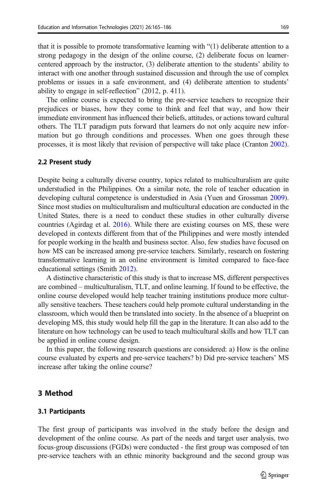169

that it is possible to promote transformative learning with "(1) deliberate attention to a strong pedagogy in the design of the online course, (2) deliberate focus on learnercentered approach by the instructor, (3) deliberate attention to the students' ability to interact with one another through sustained discussion and through the use of complex problems or issues in a safe environment, and (4) deliberate attention to students' ability to engage in self-reflection" (2012, p. 411).

The online course is expected to bring the pre-service teachers to recognize their prejudices or biases, how they come to think and feel that way, and how their immediate environment has influenced their beliefs, attitudes, or actions toward cultural others. The TLT paradigm puts forward that learners do not only acquire new information but go through conditions and processes. When one goes through these processes, it is most likely that revision of perspective will take place (Cranton [2002\)](#page-20-0).

#### 2.2 Present study

Despite being a culturally diverse country, topics related to multiculturalism are quite understudied in the Philippines. On a similar note, the role of teacher education in developing cultural competence is understudied in Asia (Yuen and Grossman [2009\)](#page-22-0). Since most studies on multiculturalism and multicultural education are conducted in the United States, there is a need to conduct these studies in other culturally diverse countries (Agirdag et al. [2016](#page-19-0)). While there are existing courses on MS, these were developed in contexts different from that of the Philippines and were mostly intended for people working in the health and business sector. Also, few studies have focused on how MS can be increased among pre-service teachers. Similarly, research on fostering transformative learning in an online environment is limited compared to face-face educational settings (Smith [2012\)](#page-21-0).

A distinctive characteristic of this study is that to increase MS, different perspectives are combined – multiculturalism, TLT, and online learning. If found to be effective, the online course developed would help teacher training institutions produce more culturally sensitive teachers. These teachers could help promote cultural understanding in the classroom, which would then be translated into society. In the absence of a blueprint on developing MS, this study would help fill the gap in the literature. It can also add to the literature on how technology can be used to teach multicultural skills and how TLT can be applied in online course design.

In this paper, the following research questions are considered: a) How is the online course evaluated by experts and pre-service teachers? b) Did pre-service teachers' MS increase after taking the online course?

#### 3 Method

#### 3.1 Participants

The first group of participants was involved in the study before the design and development of the online course. As part of the needs and target user analysis, two focus-group discussions (FGDs) were conducted - the first group was composed of ten pre-service teachers with an ethnic minority background and the second group was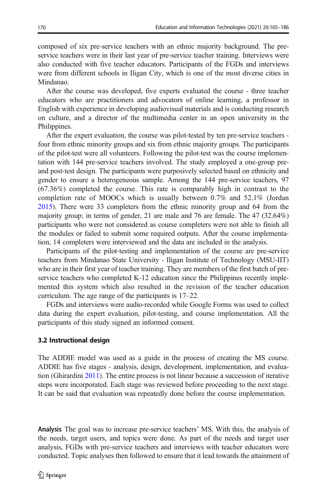composed of six pre-service teachers with an ethnic majority background. The preservice teachers were in their last year of pre-service teacher training. Interviews were also conducted with five teacher educators. Participants of the FGDs and interviews were from different schools in Iligan City, which is one of the most diverse cities in Mindanao.

After the course was developed, five experts evaluated the course - three teacher educators who are practitioners and advocators of online learning, a professor in English with experience in developing audiovisual materials and is conducting research on culture, and a director of the multimedia center in an open university in the Philippines.

After the expert evaluation, the course was pilot-tested by ten pre-service teachers four from ethnic minority groups and six from ethnic majority groups. The participants of the pilot-test were all volunteers. Following the pilot-test was the course implementation with 144 pre-service teachers involved. The study employed a one-group preand post-test design. The participants were purposively selected based on ethnicity and gender to ensure a heterogeneous sample. Among the 144 pre-service teachers, 97 (67.36%) completed the course. This rate is comparably high in contrast to the completion rate of MOOCs which is usually between 0.7% and 52.1% (Jordan [2015\)](#page-20-0). There were 33 completers from the ethnic minority group and 64 from the majority group; in terms of gender, 21 are male and 76 are female. The 47 (32.64%) participants who were not considered as course completers were not able to finish all the modules or failed to submit some required outputs. After the course implementation, 14 completers were interviewed and the data are included in the analysis.

Participants of the pilot-testing and implementation of the course are pre-service teachers from Mindanao State University - Iligan Institute of Technology (MSU-IIT) who are in their first year of teacher training. They are members of the first batch of preservice teachers who completed K-12 education since the Philippines recently implemented this system which also resulted in the revision of the teacher education curriculum. The age range of the participants is 17–22.

FGDs and interviews were audio-recorded while Google Forms was used to collect data during the expert evaluation, pilot-testing, and course implementation. All the participants of this study signed an informed consent.

#### 3.2 Instructional design

The ADDIE model was used as a guide in the process of creating the MS course. ADDIE has five stages - analysis, design, development, implementation, and evaluation (Ghirardini [2011\)](#page-20-0). The entire process is not linear because a succession of iterative steps were incorporated. Each stage was reviewed before proceeding to the next stage. It can be said that evaluation was repeatedly done before the course implementation.

Analysis The goal was to increase pre-service teachers' MS. With this, the analysis of the needs, target users, and topics were done. As part of the needs and target user analysis, FGDs with pre-service teachers and interviews with teacher educators were conducted. Topic analyses then followed to ensure that it lead towards the attainment of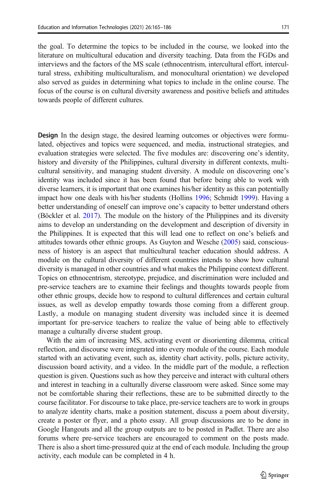the goal. To determine the topics to be included in the course, we looked into the literature on multicultural education and diversity teaching. Data from the FGDs and interviews and the factors of the MS scale (ethnocentrism, intercultural effort, intercultural stress, exhibiting multiculturalism, and monocultural orientation) we developed also served as guides in determining what topics to include in the online course. The focus of the course is on cultural diversity awareness and positive beliefs and attitudes towards people of different cultures.

Design In the design stage, the desired learning outcomes or objectives were formulated, objectives and topics were sequenced, and media, instructional strategies, and evaluation strategies were selected. The five modules are: discovering one's identity, history and diversity of the Philippines, cultural diversity in different contexts, multicultural sensitivity, and managing student diversity. A module on discovering one's identity was included since it has been found that before being able to work with diverse learners, it is important that one examines his/her identity as this can potentially impact how one deals with his/her students (Hollins [1996;](#page-20-0) Schmidt [1999\)](#page-21-0). Having a better understanding of oneself can improve one's capacity to better understand others (Böckler et al. [2017](#page-19-0)). The module on the history of the Philippines and its diversity aims to develop an understanding on the development and description of diversity in the Philippines. It is expected that this will lead one to reflect on one's beliefs and attitudes towards other ethnic groups. As Guyton and Wesche [\(2005](#page-20-0)) said, consciousness of history is an aspect that multicultural teacher education should address. A module on the cultural diversity of different countries intends to show how cultural diversity is managed in other countries and what makes the Philippine context different. Topics on ethnocentrism, stereotype, prejudice, and discrimination were included and pre-service teachers are to examine their feelings and thoughts towards people from other ethnic groups, decide how to respond to cultural differences and certain cultural issues, as well as develop empathy towards those coming from a different group. Lastly, a module on managing student diversity was included since it is deemed important for pre-service teachers to realize the value of being able to effectively manage a culturally diverse student group.

With the aim of increasing MS, activating event or disorienting dilemma, critical reflection, and discourse were integrated into every module of the course. Each module started with an activating event, such as, identity chart activity, polls, picture activity, discussion board activity, and a video. In the middle part of the module, a reflection question is given. Questions such as how they perceive and interact with cultural others and interest in teaching in a culturally diverse classroom were asked. Since some may not be comfortable sharing their reflections, these are to be submitted directly to the course facilitator. For discourse to take place, pre-service teachers are to work in groups to analyze identity charts, make a position statement, discuss a poem about diversity, create a poster or flyer, and a photo essay. All group discussions are to be done in Google Hangouts and all the group outputs are to be posted in Padlet. There are also forums where pre-service teachers are encouraged to comment on the posts made. There is also a short time-pressured quiz at the end of each module. Including the group activity, each module can be completed in 4 h.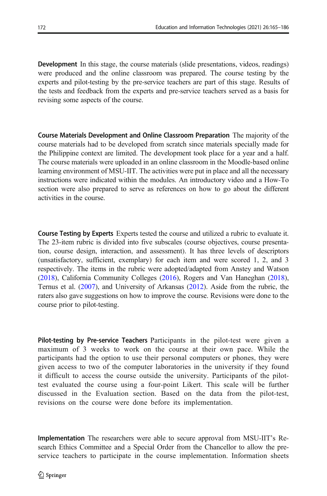Development In this stage, the course materials (slide presentations, videos, readings) were produced and the online classroom was prepared. The course testing by the experts and pilot-testing by the pre-service teachers are part of this stage. Results of the tests and feedback from the experts and pre-service teachers served as a basis for revising some aspects of the course.

Course Materials Development and Online Classroom Preparation The majority of the course materials had to be developed from scratch since materials specially made for the Philippine context are limited. The development took place for a year and a half. The course materials were uploaded in an online classroom in the Moodle-based online learning environment of MSU-IIT. The activities were put in place and all the necessary instructions were indicated within the modules. An introductory video and a How-To section were also prepared to serve as references on how to go about the different activities in the course.

Course Testing by Experts Experts tested the course and utilized a rubric to evaluate it. The 23-item rubric is divided into five subscales (course objectives, course presentation, course design, interaction, and assessment). It has three levels of descriptors (unsatisfactory, sufficient, exemplary) for each item and were scored 1, 2, and 3 respectively. The items in the rubric were adopted/adapted from Anstey and Watson [\(2018\)](#page-19-0), California Community Colleges ([2016](#page-19-0)), Rogers and Van Haneghan [\(2018\)](#page-21-0), Ternus et al. [\(2007](#page-22-0)), and University of Arkansas [\(2012\)](#page-22-0). Aside from the rubric, the raters also gave suggestions on how to improve the course. Revisions were done to the course prior to pilot-testing.

Pilot-testing by Pre-service Teachers Participants in the pilot-test were given a maximum of 3 weeks to work on the course at their own pace. While the participants had the option to use their personal computers or phones, they were given access to two of the computer laboratories in the university if they found it difficult to access the course outside the university. Participants of the pilottest evaluated the course using a four-point Likert. This scale will be further discussed in the Evaluation section. Based on the data from the pilot-test, revisions on the course were done before its implementation.

Implementation The researchers were able to secure approval from MSU-IIT's Research Ethics Committee and a Special Order from the Chancellor to allow the preservice teachers to participate in the course implementation. Information sheets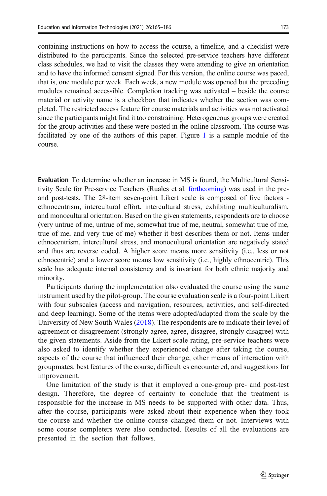containing instructions on how to access the course, a timeline, and a checklist were distributed to the participants. Since the selected pre-service teachers have different class schedules, we had to visit the classes they were attending to give an orientation and to have the informed consent signed. For this version, the online course was paced, that is, one module per week. Each week, a new module was opened but the preceding modules remained accessible. Completion tracking was activated – beside the course material or activity name is a checkbox that indicates whether the section was completed. The restricted access feature for course materials and activities was not activated since the participants might find it too constraining. Heterogeneous groups were created for the group activities and these were posted in the online classroom. The course was facilitated by one of the authors of this paper. Figure [1](#page-10-0) is a sample module of the course.

Evaluation To determine whether an increase in MS is found, the Multicultural Sensitivity Scale for Pre-service Teachers (Ruales et al. [forthcoming\)](#page-21-0) was used in the preand post-tests. The 28-item seven-point Likert scale is composed of five factors ethnocentrism, intercultural effort, intercultural stress, exhibiting multiculturalism, and monocultural orientation. Based on the given statements, respondents are to choose (very untrue of me, untrue of me, somewhat true of me, neutral, somewhat true of me, true of me, and very true of me) whether it best describes them or not. Items under ethnocentrism, intercultural stress, and monocultural orientation are negatively stated and thus are reverse coded. A higher score means more sensitivity (i.e., less or not ethnocentric) and a lower score means low sensitivity (i.e., highly ethnocentric). This scale has adequate internal consistency and is invariant for both ethnic majority and minority.

Participants during the implementation also evaluated the course using the same instrument used by the pilot-group. The course evaluation scale is a four-point Likert with four subscales (access and navigation, resources, activities, and self-directed and deep learning). Some of the items were adopted/adapted from the scale by the University of New South Wales [\(2018\)](#page-22-0). The respondents are to indicate their level of agreement or disagreement (strongly agree, agree, disagree, strongly disagree) with the given statements. Aside from the Likert scale rating, pre-service teachers were also asked to identify whether they experienced change after taking the course, aspects of the course that influenced their change, other means of interaction with groupmates, best features of the course, difficulties encountered, and suggestions for improvement.

One limitation of the study is that it employed a one-group pre- and post-test design. Therefore, the degree of certainty to conclude that the treatment is responsible for the increase in MS needs to be supported with other data. Thus, after the course, participants were asked about their experience when they took the course and whether the online course changed them or not. Interviews with some course completers were also conducted. Results of all the evaluations are presented in the section that follows.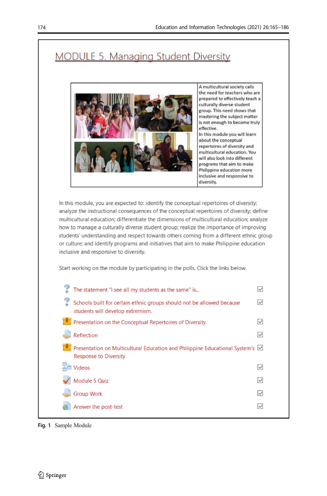# <span id="page-10-0"></span>**MODULE 5. Managing Student Diversity**



In this module, you are expected to: identify the conceptual repertoires of diversity; analyze the instructional consequences of the conceptual repertoires of diversity; define multicultural education; differentiate the dimensions of multicultural education; analyze how to manage a culturally diverse student group; realize the importance of improving students' understanding and respect towards others coming from a different ethnic group or culture; and identify programs and initiatives that aim to make Philippine education inclusive and responsive to diversity.

Start working on the module by participating in the polls. Click the links below.

| The statement "I see all my students as the same" is                                                      | W,     |
|-----------------------------------------------------------------------------------------------------------|--------|
| Schools built for certain ethnic groups should not be allowed because<br>students will develop extremism. | V      |
| Presentation on the Conceptual Repertoires of Diversity                                                   | V      |
| Reflection                                                                                                | Ø      |
| Presentation on Multicultural Education and Philippine Educational System's [5]<br>Response to Diversity  |        |
| <b>Videos</b>                                                                                             | Ø      |
| Module 5 Quiz                                                                                             | Q      |
| <b>Group Work</b>                                                                                         | $\vee$ |
| Answer the post-test                                                                                      | M      |

Fig. 1 Sample Module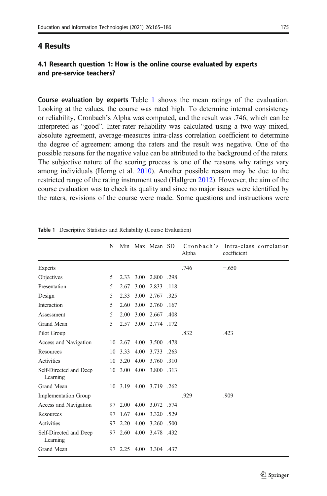## <span id="page-11-0"></span>4.1 Research question 1: How is the online course evaluated by experts and pre-service teachers?

Course evaluation by experts Table 1 shows the mean ratings of the evaluation. Looking at the values, the course was rated high. To determine internal consistency or reliability, Cronbach's Alpha was computed, and the result was .746, which can be interpreted as "good". Inter-rater reliability was calculated using a two-way mixed, absolute agreement, average-measures intra-class correlation coefficient to determine the degree of agreement among the raters and the result was negative. One of the possible reasons for the negative value can be attributed to the background of the raters. The subjective nature of the scoring process is one of the reasons why ratings vary among individuals (Horng et al. [2010\)](#page-20-0). Another possible reason may be due to the restricted range of the rating instrument used (Hallgren [2012\)](#page-20-0). However, the aim of the course evaluation was to check its quality and since no major issues were identified by the raters, revisions of the course were made. Some questions and instructions were

| N  |      |      |                                        | Alpha                                                                                                                                                                                                                                                                                                                                                   | coefficient |                                    |
|----|------|------|----------------------------------------|---------------------------------------------------------------------------------------------------------------------------------------------------------------------------------------------------------------------------------------------------------------------------------------------------------------------------------------------------------|-------------|------------------------------------|
|    |      |      |                                        | .746                                                                                                                                                                                                                                                                                                                                                    | $-.650$     |                                    |
| 5  |      |      |                                        |                                                                                                                                                                                                                                                                                                                                                         |             |                                    |
| 5  | 2.67 |      |                                        |                                                                                                                                                                                                                                                                                                                                                         |             |                                    |
| 5  | 2.33 |      |                                        |                                                                                                                                                                                                                                                                                                                                                         |             |                                    |
| 5  | 2.60 |      |                                        |                                                                                                                                                                                                                                                                                                                                                         |             |                                    |
| 5  | 2.00 | 3.00 |                                        |                                                                                                                                                                                                                                                                                                                                                         |             |                                    |
| 5  |      |      |                                        |                                                                                                                                                                                                                                                                                                                                                         |             |                                    |
|    |      |      |                                        | .832                                                                                                                                                                                                                                                                                                                                                    | .423        |                                    |
|    |      |      |                                        |                                                                                                                                                                                                                                                                                                                                                         |             |                                    |
| 10 | 3.33 |      |                                        |                                                                                                                                                                                                                                                                                                                                                         |             |                                    |
| 10 |      |      |                                        |                                                                                                                                                                                                                                                                                                                                                         |             |                                    |
|    |      |      |                                        |                                                                                                                                                                                                                                                                                                                                                         |             |                                    |
| 10 |      |      |                                        |                                                                                                                                                                                                                                                                                                                                                         |             |                                    |
|    |      |      |                                        | .929                                                                                                                                                                                                                                                                                                                                                    | .909        |                                    |
| 97 |      |      |                                        |                                                                                                                                                                                                                                                                                                                                                         |             |                                    |
| 97 |      | 4.00 |                                        |                                                                                                                                                                                                                                                                                                                                                         |             |                                    |
| 97 |      |      |                                        |                                                                                                                                                                                                                                                                                                                                                         |             |                                    |
|    |      |      |                                        |                                                                                                                                                                                                                                                                                                                                                         |             |                                    |
| 97 |      |      |                                        |                                                                                                                                                                                                                                                                                                                                                         |             |                                    |
|    |      |      | 4.00<br>3.20 4.00<br>1.67<br>2.20 4.00 | Min Max Mean SD<br>2.33 3.00 2.800 .298<br>3.00 2.833 .118<br>3.00 2.767 .325<br>3.00 2.760 .167<br>2.667 .408<br>2.57 3.00 2.774 .172<br>10 2.67 4.00 3.500 .478<br>3.733 .263<br>3.760 .310<br>10 3.00 4.00 3.800 .313<br>3.19 4.00 3.719 .262<br>2.00 4.00 3.072 .574<br>3.320 .529<br>3.260 .500<br>97 2.60 4.00 3.478 .432<br>2.25 4.00 3.304 .437 |             | Cronbach's Intra-class correlation |

Table 1 Descriptive Statistics and Reliability (Course Evaluation)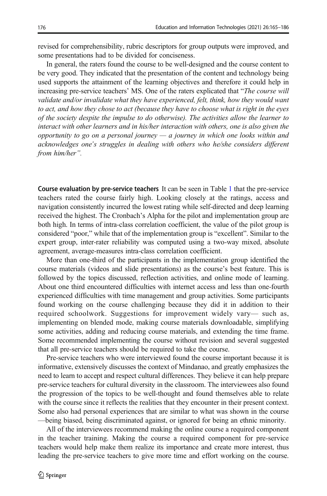revised for comprehensibility, rubric descriptors for group outputs were improved, and some presentations had to be divided for conciseness.

In general, the raters found the course to be well-designed and the course content to be very good. They indicated that the presentation of the content and technology being used supports the attainment of the learning objectives and therefore it could help in increasing pre-service teachers' MS. One of the raters explicated that "The course will validate and/or invalidate what they have experienced, felt, think, how they would want to act, and how they chose to act (because they have to choose what is right in the eyes of the society despite the impulse to do otherwise). The activities allow the learner to interact with other learners and in his/her interaction with others, one is also given the opportunity to go on a personal journey  $-a$  journey in which one looks within and acknowledges one's struggles in dealing with others who he/she considers different from him/her".

Course evaluation by pre-service teachers It can be seen in Table [1](#page-11-0) that the pre-service teachers rated the course fairly high. Looking closely at the ratings, access and navigation consistently incurred the lowest rating while self-directed and deep learning received the highest. The Cronbach's Alpha for the pilot and implementation group are both high. In terms of intra-class correlation coefficient, the value of the pilot group is considered "poor," while that of the implementation group is "excellent". Similar to the expert group, inter-rater reliability was computed using a two-way mixed, absolute agreement, average-measures intra-class correlation coefficient.

More than one-third of the participants in the implementation group identified the course materials (videos and slide presentations) as the course's best feature. This is followed by the topics discussed, reflection activities, and online mode of learning. About one third encountered difficulties with internet access and less than one-fourth experienced difficulties with time management and group activities. Some participants found working on the course challenging because they did it in addition to their required schoolwork. Suggestions for improvement widely vary— such as, implementing on blended mode, making course materials downloadable, simplifying some activities, adding and reducing course materials, and extending the time frame. Some recommended implementing the course without revision and several suggested that all pre-service teachers should be required to take the course.

Pre-service teachers who were interviewed found the course important because it is informative, extensively discusses the context of Mindanao, and greatly emphasizes the need to learn to accept and respect cultural differences. They believe it can help prepare pre-service teachers for cultural diversity in the classroom. The interviewees also found the progression of the topics to be well-thought and found themselves able to relate with the course since it reflects the realities that they encounter in their present context. Some also had personal experiences that are similar to what was shown in the course —being biased, being discriminated against, or ignored for being an ethnic minority.

All of the interviewees recommend making the online course a required component in the teacher training. Making the course a required component for pre-service teachers would help make them realize its importance and create more interest, thus leading the pre-service teachers to give more time and effort working on the course.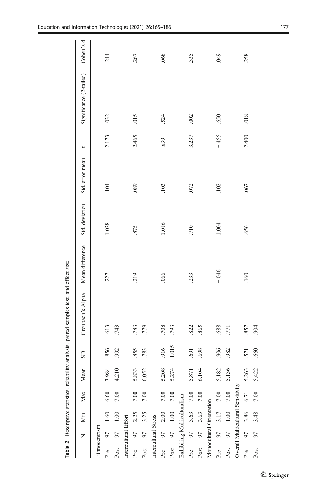<span id="page-13-0"></span>

|                      |              |                             |                                   |       |            | Table 2 Descriptive statistics, reliability analysis, paired samples test, and effect size |                 |                |                 |        |                         |            |
|----------------------|--------------|-----------------------------|-----------------------------------|-------|------------|--------------------------------------------------------------------------------------------|-----------------|----------------|-----------------|--------|-------------------------|------------|
|                      | $\mathsf{z}$ | Min                         | Max                               | Mean  | <b>G</b>   | Cronbach's Alpha                                                                           | Mean difference | Std. deviation | Std. error mean |        | Significance (2-tailed) | Cohen's d  |
| Ethnocentrism        |              |                             |                                   |       |            |                                                                                            |                 |                |                 |        |                         |            |
| Pre                  | 97           | 1.60                        | 6.60                              | 3.984 | 856        | 613                                                                                        | 227             | 1.028          | 104             | 2.173  | 032                     | 244        |
| Post                 | 97           | 1.00                        | $7.00\,$                          | 4.210 | 992        | .743                                                                                       |                 |                |                 |        |                         |            |
| Intercultural Effort |              |                             |                                   |       |            |                                                                                            |                 |                |                 |        |                         |            |
| Pre                  | 97           | 2.25                        | 7.00                              | 5.833 | 855        | .783                                                                                       | 219             | 875            | .089            | 2.465  | 015                     | .267       |
| Post                 | 56           | 3.25                        | 7.00                              | 6.052 | .783       | 779                                                                                        |                 |                |                 |        |                         |            |
| Intercultural Stress |              |                             |                                   |       |            |                                                                                            |                 |                |                 |        |                         |            |
| Pre                  | 56           | 2.00                        | 7.00                              | 5.208 | 916        | .708                                                                                       | .066            | 1.016          | .103            | 639    | 524                     | .068       |
| Post                 | 50           | 1.00                        | 7.00                              | 5.274 | 1.015      | .793                                                                                       |                 |                |                 |        |                         |            |
|                      |              | Exhibiting Multiculturalism |                                   |       |            |                                                                                            |                 |                |                 |        |                         |            |
| Pre                  | 56           | 3.63                        | 7.00                              | 5.871 | <b>691</b> | 822                                                                                        | 233             | 710            | .072            | 3.237  | .002                    | .335       |
| Post                 | 50           | 3.63                        | 7.00                              | 6.104 | 698        | 865                                                                                        |                 |                |                 |        |                         |            |
|                      |              | Monocultural Orientation    |                                   |       |            |                                                                                            |                 |                |                 |        |                         |            |
| Pre                  | 97           | 3.17                        | $7.00\,$                          | 5.182 | 906        | .688                                                                                       | $-046$          | 1.004          | 102             | $-455$ | .650                    | <b>QA9</b> |
| Post                 | 56           | 1.00                        | $7.00\,$                          | 5.136 | 982        | .771                                                                                       |                 |                |                 |        |                         |            |
|                      |              |                             | Overall Multicultural Sensitivity |       |            |                                                                                            |                 |                |                 |        |                         |            |
| Pre                  | 56           | 3.86                        | 6.71                              | 5.263 | .571       | .857                                                                                       | .160            | .656           | .067            | 2.400  | 018                     | .258       |
| Post                 | 56           | 3.48                        | 7.00                              | 5.422 | .660       | .904                                                                                       |                 |                |                 |        |                         |            |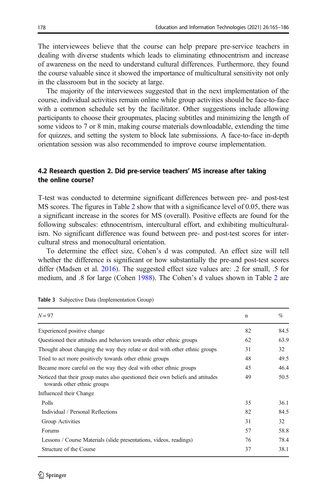<span id="page-14-0"></span>The interviewees believe that the course can help prepare pre-service teachers in dealing with diverse students which leads to eliminating ethnocentrism and increase of awareness on the need to understand cultural differences. Furthermore, they found the course valuable since it showed the importance of multicultural sensitivity not only in the classroom but in the society at large.

The majority of the interviewees suggested that in the next implementation of the course, individual activities remain online while group activities should be face-to-face with a common schedule set by the facilitator. Other suggestions include allowing participants to choose their groupmates, placing subtitles and minimizing the length of some videos to 7 or 8 min, making course materials downloadable, extending the time for quizzes, and setting the system to block late submissions. A face-to-face in-depth orientation session was also recommended to improve course implementation.

#### 4.2 Research question 2. Did pre-service teachers' MS increase after taking the online course?

T-test was conducted to determine significant differences between pre- and post-test MS scores. The figures in Table [2](#page-13-0) show that with a significance level of 0.05, there was a significant increase in the scores for MS (overall). Positive effects are found for the following subscales: ethnocentrism, intercultural effort, and exhibiting multiculturalism. No significant difference was found between pre- and post-test scores for intercultural stress and monocultural orientation.

To determine the effect size, Cohen's d was computed. An effect size will tell whether the difference is significant or how substantially the pre-and post-test scores differ (Madsen et al. [2016\)](#page-21-0). The suggested effect size values are: .2 for small, .5 for medium, and .8 for large (Cohen [1988\)](#page-20-0). The Cohen's d values shown in Table [2](#page-13-0) are

| $N=97$                                                                                                        | $\mathbf n$ | $\%$ |
|---------------------------------------------------------------------------------------------------------------|-------------|------|
| Experienced positive change                                                                                   | 82          | 84.5 |
| Questioned their attitudes and behaviors towards other ethnic groups                                          | 62          | 63.9 |
| Thought about changing the way they relate or deal with other ethnic groups                                   | 31          | 32   |
| Tried to act more positively towards other ethnic groups                                                      | 48          | 49.5 |
| Became more careful on the way they deal with other ethnic groups                                             | 45          | 46.4 |
| Noticed that their group mates also questioned their own beliefs and attitudes<br>towards other ethnic groups | 49          | 50.5 |
| Influenced their Change                                                                                       |             |      |
| Polls                                                                                                         | 35          | 36.1 |
| Individual / Personal Reflections                                                                             | 82          | 84.5 |
| Group Activities                                                                                              | 31          | 32   |
| Forums                                                                                                        | 57          | 58.8 |
| Lessons / Course Materials (slide presentations, videos, readings)                                            | 76          | 78.4 |
| Structure of the Course                                                                                       | 37          | 38.1 |

|  |  |  | Table 3 Subjective Data (Implementation Group) |  |  |
|--|--|--|------------------------------------------------|--|--|
|--|--|--|------------------------------------------------|--|--|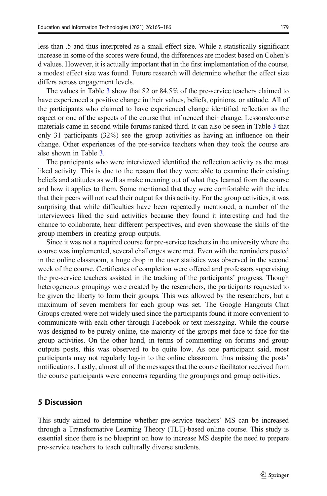less than .5 and thus interpreted as a small effect size. While a statistically significant increase in some of the scores were found, the differences are modest based on Cohen's d values. However, it is actually important that in the first implementation of the course, a modest effect size was found. Future research will determine whether the effect size differs across engagement levels.

The values in Table [3](#page-14-0) show that 82 or 84.5% of the pre-service teachers claimed to have experienced a positive change in their values, beliefs, opinions, or attitude. All of the participants who claimed to have experienced change identified reflection as the aspect or one of the aspects of the course that influenced their change. Lessons/course materials came in second while forums ranked third. It can also be seen in Table [3](#page-14-0) that only 31 participants (32%) see the group activities as having an influence on their change. Other experiences of the pre-service teachers when they took the course are also shown in Table [3](#page-14-0).

The participants who were interviewed identified the reflection activity as the most liked activity. This is due to the reason that they were able to examine their existing beliefs and attitudes as well as make meaning out of what they learned from the course and how it applies to them. Some mentioned that they were comfortable with the idea that their peers will not read their output for this activity. For the group activities, it was surprising that while difficulties have been repeatedly mentioned, a number of the interviewees liked the said activities because they found it interesting and had the chance to collaborate, hear different perspectives, and even showcase the skills of the group members in creating group outputs.

Since it was not a required course for pre-service teachers in the university where the course was implemented, several challenges were met. Even with the reminders posted in the online classroom, a huge drop in the user statistics was observed in the second week of the course. Certificates of completion were offered and professors supervising the pre-service teachers assisted in the tracking of the participants' progress. Though heterogeneous groupings were created by the researchers, the participants requested to be given the liberty to form their groups. This was allowed by the researchers, but a maximum of seven members for each group was set. The Google Hangouts Chat Groups created were not widely used since the participants found it more convenient to communicate with each other through Facebook or text messaging. While the course was designed to be purely online, the majority of the groups met face-to-face for the group activities. On the other hand, in terms of commenting on forums and group outputs posts, this was observed to be quite low. As one participant said, most participants may not regularly log-in to the online classroom, thus missing the posts' notifications. Lastly, almost all of the messages that the course facilitator received from the course participants were concerns regarding the groupings and group activities.

#### 5 Discussion

This study aimed to determine whether pre-service teachers' MS can be increased through a Transformative Learning Theory (TLT)-based online course. This study is essential since there is no blueprint on how to increase MS despite the need to prepare pre-service teachers to teach culturally diverse students.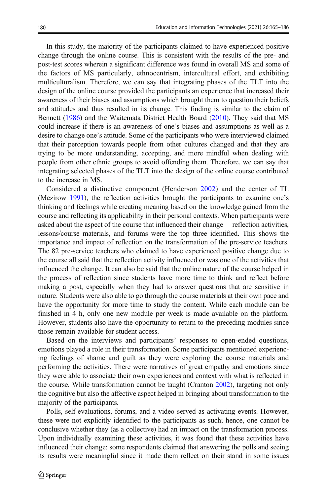In this study, the majority of the participants claimed to have experienced positive change through the online course. This is consistent with the results of the pre- and post-test scores wherein a significant difference was found in overall MS and some of the factors of MS particularly, ethnocentrism, intercultural effort, and exhibiting multiculturalism. Therefore, we can say that integrating phases of the TLT into the design of the online course provided the participants an experience that increased their awareness of their biases and assumptions which brought them to question their beliefs and attitudes and thus resulted in its change. This finding is similar to the claim of Bennett ([1986](#page-19-0)) and the Waitemata District Health Board ([2010](#page-22-0)). They said that MS could increase if there is an awareness of one's biases and assumptions as well as a desire to change one's attitude. Some of the participants who were interviewed claimed that their perception towards people from other cultures changed and that they are trying to be more understanding, accepting, and more mindful when dealing with people from other ethnic groups to avoid offending them. Therefore, we can say that integrating selected phases of the TLT into the design of the online course contributed to the increase in MS.

Considered a distinctive component (Henderson [2002\)](#page-20-0) and the center of TL (Mezirow [1991\)](#page-21-0), the reflection activities brought the participants to examine one's thinking and feelings while creating meaning based on the knowledge gained from the course and reflecting its applicability in their personal contexts. When participants were asked about the aspect of the course that influenced their change— reflection activities, lessons/course materials, and forums were the top three identified. This shows the importance and impact of reflection on the transformation of the pre-service teachers. The 82 pre-service teachers who claimed to have experienced positive change due to the course all said that the reflection activity influenced or was one of the activities that influenced the change. It can also be said that the online nature of the course helped in the process of reflection since students have more time to think and reflect before making a post, especially when they had to answer questions that are sensitive in nature. Students were also able to go through the course materials at their own pace and have the opportunity for more time to study the content. While each module can be finished in 4 h, only one new module per week is made available on the platform. However, students also have the opportunity to return to the preceding modules since those remain available for student access.

Based on the interviews and participants' responses to open-ended questions, emotions played a role in their transformation. Some participants mentioned experiencing feelings of shame and guilt as they were exploring the course materials and performing the activities. There were narratives of great empathy and emotions since they were able to associate their own experiences and context with what is reflected in the course. While transformation cannot be taught (Cranton [2002](#page-20-0)), targeting not only the cognitive but also the affective aspect helped in bringing about transformation to the majority of the participants.

Polls, self-evaluations, forums, and a video served as activating events. However, these were not explicitly identified to the participants as such; hence, one cannot be conclusive whether they (as a collective) had an impact on the transformation process. Upon individually examining these activities, it was found that these activities have influenced their change: some respondents claimed that answering the polls and seeing its results were meaningful since it made them reflect on their stand in some issues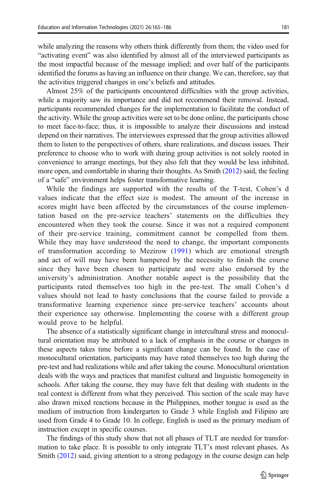while analyzing the reasons why others think differently from them; the video used for "activating event" was also identified by almost all of the interviewed participants as the most impactful because of the message implied; and over half of the participants identified the forums as having an influence on their change. We can, therefore, say that the activities triggered changes in one's beliefs and attitudes.

Almost 25% of the participants encountered difficulties with the group activities, while a majority saw its importance and did not recommend their removal. Instead, participants recommended changes for the implementation to facilitate the conduct of the activity. While the group activities were set to be done online, the participants chose to meet face-to-face; thus, it is impossible to analyze their discussions and instead depend on their narratives. The interviewees expressed that the group activities allowed them to listen to the perspectives of others, share realizations, and discuss issues. Their preference to choose who to work with during group activities is not solely rooted in convenience to arrange meetings, but they also felt that they would be less inhibited, more open, and comfortable in sharing their thoughts. As Smith [\(2012\)](#page-21-0) said, the feeling of a "safe" environment helps foster transformative learning.

While the findings are supported with the results of the T-test, Cohen's d values indicate that the effect size is modest. The amount of the increase in scores might have been affected by the circumstances of the course implementation based on the pre-service teachers' statements on the difficulties they encountered when they took the course. Since it was not a required component of their pre-service training, commitment cannot be compelled from them. While they may have understood the need to change, the important components of transformation according to Mezirow [\(1991\)](#page-21-0) which are emotional strength and act of will may have been hampered by the necessity to finish the course since they have been chosen to participate and were also endorsed by the university's administration. Another notable aspect is the possibility that the participants rated themselves too high in the pre-test. The small Cohen's d values should not lead to hasty conclusions that the course failed to provide a transformative learning experience since pre-service teachers' accounts about their experience say otherwise. Implementing the course with a different group would prove to be helpful.

The absence of a statistically significant change in intercultural stress and monocultural orientation may be attributed to a lack of emphasis in the course or changes in these aspects takes time before a significant change can be found. In the case of monocultural orientation, participants may have rated themselves too high during the pre-test and had realizations while and after taking the course. Monocultural orientation deals with the ways and practices that manifest cultural and linguistic homogeneity in schools. After taking the course, they may have felt that dealing with students in the real context is different from what they perceived. This section of the scale may have also drawn mixed reactions because in the Philippines, mother tongue is used as the medium of instruction from kindergarten to Grade 3 while English and Filipino are used from Grade 4 to Grade 10. In college, English is used as the primary medium of instruction except in specific courses.

The findings of this study show that not all phases of TLT are needed for transformation to take place. It is possible to only integrate TLT's most relevant phases. As Smith [\(2012\)](#page-21-0) said, giving attention to a strong pedagogy in the course design can help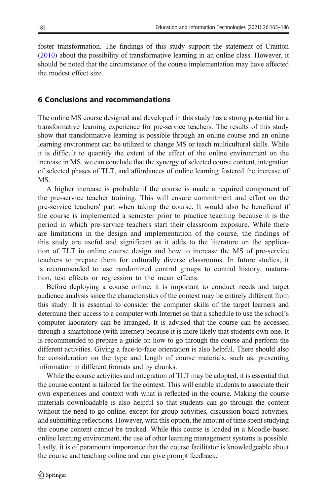foster transformation. The findings of this study support the statement of Cranton [\(2010\)](#page-20-0) about the possibility of transformative learning in an online class. However, it should be noted that the circumstance of the course implementation may have affected the modest effect size.

#### 6 Conclusions and recommendations

The online MS course designed and developed in this study has a strong potential for a transformative learning experience for pre-service teachers. The results of this study show that transformative learning is possible through an online course and an online learning environment can be utilized to change MS or teach multicultural skills. While it is difficult to quantify the extent of the effect of the online environment on the increase in MS, we can conclude that the synergy of selected course content, integration of selected phases of TLT, and affordances of online learning fostered the increase of MS.

A higher increase is probable if the course is made a required component of the pre-service teacher training. This will ensure commitment and effort on the pre-service teachers' part when taking the course. It would also be beneficial if the course is implemented a semester prior to practice teaching because it is the period in which pre-service teachers start their classroom exposure. While there are limitations in the design and implementation of the course, the findings of this study are useful and significant as it adds to the literature on the application of TLT in online course design and how to increase the MS of pre-service teachers to prepare them for culturally diverse classrooms. In future studies, it is recommended to use randomized control groups to control history, maturation, test effects or regression to the mean effects.

Before deploying a course online, it is important to conduct needs and target audience analysis since the characteristics of the context may be entirely different from this study. It is essential to consider the computer skills of the target learners and determine their access to a computer with Internet so that a schedule to use the school's computer laboratory can be arranged. It is advised that the course can be accessed through a smartphone (with Internet) because it is more likely that students own one. It is recommended to prepare a guide on how to go through the course and perform the different activities. Giving a face-to-face orientation is also helpful. There should also be consideration on the type and length of course materials, such as, presenting information in different formats and by chunks.

While the course activities and integration of TLT may be adopted, it is essential that the course content is tailored for the context. This will enable students to associate their own experiences and context with what is reflected in the course. Making the course materials downloadable is also helpful so that students can go through the content without the need to go online, except for group activities, discussion board activities, and submitting reflections. However, with this option, the amount of time spent studying the course content cannot be tracked. While this course is loaded in a Moodle-based online learning environment, the use of other learning management systems is possible. Lastly, it is of paramount importance that the course facilitator is knowledgeable about the course and teaching online and can give prompt feedback.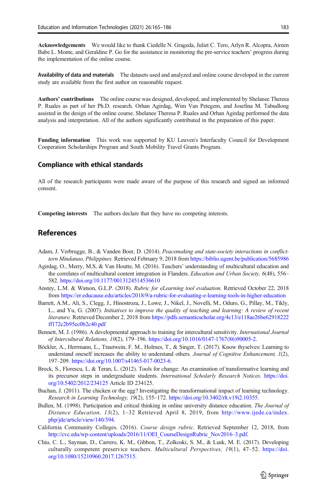<span id="page-19-0"></span>Acknowledgements We would like to thank Ciedelle N. Grageda, Juliet C. Tero, Arlyn R. Alcopra, Aireen Babe L. Monte, and Geraldine P. Go for the assistance in monitoring the pre-service teachers' progress during the implementation of the online course.

Availability of data and materials The datasets used and analyzed and online course developed in the current study are available from the first author on reasonable request.

Authors' contributions The online course was designed, developed, and implemented by Shelanee Theresa P. Ruales as part of her Ph.D. research. Orhan Agirdag, Wim Van Petegem, and Josefina M. Tabudlong assisted in the design of the online course. Shelanee Theresa P. Ruales and Orhan Agirdag performed the data analysis and interpretation. All of the authors significantly contributed in the preparation of this paper.

Funding information This work was supported by KU Leuven's Interfaculty Council for Development Cooperation Scholarships Program and South Mobility Travel Grants Program.

#### Compliance with ethical standards

All of the research participants were made aware of the purpose of this research and signed an informed consent.

Competing interests The authors declare that they have no competing interests.

#### References

- Adam, J. Verbrugge, B., & Vanden Boer, D. (2014). Peacemaking and state-society interactions in conflicttorn Mindanao, Philippines. Retrieved February 9, 2018 from [https://biblio.ugent.be/publication/5685986](https://doi.org/http://nosignificantdifference.org)
- Agirdag, O., Merry, M.S, & Van Houtte, M. (2016). Teachers' understanding of multicultural education and the correlates of multicultural content integration in Flanders. Education and Urban Society, 6(48), 556– 582. <https://doi.org/10.1177/0013124514536610>
- Anstey, L.M. & Watson, G.L.P. (2018). Rubric for eLearning tool evaluation. Retrieved October 22, 2018 from [https://er.educause.edu/articles/2018/9/a-rubric-for-evaluating-e-learning-tools-in-higher-education](https://doi.org/http://nosignificantdifference.org)
- Barrett, A.M., Ali, S., Clegg, J., Hinostroza, J., Lowe, J., Nikel, J., Novelli, M., Oduro, G., Pillay, M., Tikly, L., and Yu, G. (2007). Initiatives to improve the quality of teaching and learning: A review of recent literature. Retrieved December 2, 2018 from [https://pdfs.semanticscholar.org/4c13/e118ae26be62918222](https://doi.org/http://nosignificantdifference.org) [ff172c2b95ec0b2c40.pdf](https://doi.org/http://nosignificantdifference.org)
- Bennett, M. J. (1986). A developmental approach to training for intercultural sensitivity. International Journal of Intercultural Relations, 10(2), 179–196. [https://doi.org/10.1016/0147-1767\(86\)90005-2.](https://doi.org/10.1016/0147-1767(86)90005-2)
- Böckler, A., Herrmann, L., Trautwein, F. M., Holmes, T., & Singer, T. (2017). Know thyselves: Learning to understand oneself increases the ability to understand others. Journal of Cognitive Enhancement, 1(2), 197–209. <https://doi.org/10.1007/s41465-017-0023-6>.
- Brock, S., Florescu, I., & Teran, L. (2012). Tools for change: An examination of transformative learning and its precursor steps in undergraduate students. International Scholarly Research Notices. [https://doi.](https://doi.org/10.5402/2012/234125) [org/10.5402/2012/234125](https://doi.org/10.5402/2012/234125) Article ID 234125.
- Buchan, J. (2011). The chicken or the egg? Investigating the transformational impact of learning technology. Research in Learning Technology, 19(2), 155–172. [https://doi.org/10.3402/rlt.v19i2.10355.](https://doi.org/10.3402/rlt.v19i2.10355)
- Bullen, M. (1998). Participation and critical thinking in online university distance education. The Journal of Distance Education, 13(2), 1–32 Retrieved April 8, 2019, from [http://www.ijede.ca/index.](https://doi.org/http://nosignificantdifference.org) [php/jde/article/view/140/394](https://doi.org/http://nosignificantdifference.org).
- California Community Colleges. (2016). Course design rubric. Retrieved September 12, 2018, from [http://cvc.edu/wp-content/uploads/2016/11/OEI\\_CourseDesignRubric\\_Nov2016](https://doi.org/10.1177/0013124514536610)–3.pdf.
- Chiu, C. L., Sayman, D., Carrero, K. M., Gibbon, T., Zolkoski, S. M., & Lusk, M. E. (2017). Developing culturally competent preservice teachers. Multicultural Perspectives, 19(1), 47–52. [https://doi.](https://doi.org/10.1080/15210960.2017.1267515) [org/10.1080/15210960.2017.1267515.](https://doi.org/10.1080/15210960.2017.1267515)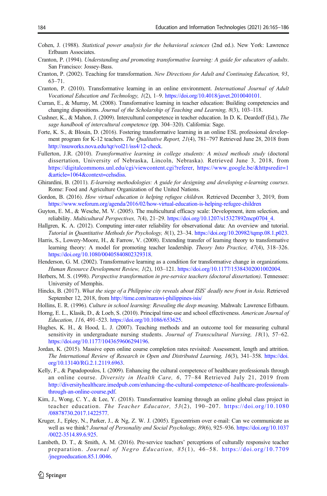- <span id="page-20-0"></span>Cohen, J. (1988). Statistical power analysis for the behavioral sciences (2nd ed.). New York: Lawrence Erlbaum Associates.
- Cranton, P. (1994). Understanding and promoting transformative learning: A guide for educators of adults. San Francisco: Jossey-Bass.
- Cranton, P. (2002). Teaching for transformation. New Directions for Adult and Continuing Education, 93, 63–71.
- Cranton, P. (2010). Transformative learning in an online environment. International Journal of Adult Vocational Education and Technology, 1(2), 1–9. <https://doi.org/10.4018/javet.2010040101>.
- Curran, E., & Murray, M. (2008). Transformative learning in teacher education: Building competencies and changing dispositions. Journal of the Scholarship of Teaching and Learning, 8(3), 103–118.
- Cushner, K., & Mahon, J. (2009). Intercultural competence in teacher education. In D. K. Deardoff (Ed.), The sage handbook of intercultural competence (pp. 304–320). California: Sage.
- Forte, K. S., & Blouin, D. (2016). Fostering transformative learning in an online ESL professional development program for K-12 teachers. The Qualitative Report, 21(4), 781–797 Retrieved June 28, 2018 from [http://nsuworks.nova.edu/tqr/vol21/iss4/12-check.](https://doi.org/http://nosignificantdifference.org)
- Fullerton, J.R. (2010). Transformative learning in college students: A mixed methods study (doctoral dissertation, University of Nebraska, Lincoln, Nebraska). Retrieved June 3, 2018, from [https://digitalcommons.unl.edu/cgi/viewcontent.cgi?referer](https://doi.org/http://nosignificantdifference.org), [https://www.google.be/&httpsredir=1](https://doi.org/http://nosignificantdifference.org) [&article=1064&context=cehsdiss.](https://doi.org/http://nosignificantdifference.org)
- Ghirardini, B. (2011). E-learning methodologies: A guide for designing and developing e-learning courses. Rome: Food and Agriculture Organization of the United Nations.
- Gordon, B. (2016). How virtual education is helping refugee children. Retrieved December 3, 2019, from [https://www.weforum.org/agenda/2016/02/how-virtual-education-is-helping-refugee-children](https://doi.org/http://nosignificantdifference.org)
- Guyton, E. M., & Wesche, M. V. (2005). The multicultural efficacy scale: Development, item selection, and reliability. Multicultural Perspectives, 7(4), 21–29. [https://doi.org/10.1207/s15327892mcp0704\\_4](https://doi.org/10.1207/s15327892mcp0704_4).
- Hallgren, K. A. (2012). Computing inter-rater reliability for observational data: An overview and tutorial. Tutorial in Quantitative Methods for Psychology, 8(1), 23–34. <https://doi.org/10.20982/tqmp.08.1.p023>.
- Harris, S., Lowery-Moore, H., & Farrow, V. (2008). Extending transfer of learning theory to transformative learning theory: A model for promoting teacher leadership. Theory Into Practice, 47(4), 318–326. [https://doi.org/10.1080/00405840802329318.](https://doi.org/10.1080/00405840802329318)
- Henderson, G. M. (2002). Transformative learning as a condition for transformative change in organizations. Human Resource Development Review, 1(2), 103–121. [https://doi.org/10.1177/15384302001002004.](https://doi.org/10.1177/15384302001002004)
- Herbers, M. S. (1998). Perspective transformation in pre-service teachers (doctoral dissertation). Tennessee: University of Memphis.
- Hincks, B. (2017). What the siege of a Philippine city reveals about ISIS' deadly new front in Asia. Retrieved September 12, 2018, from [http://time.com/marawi-philippines-isis/](https://doi.org/http://nosignificantdifference.org)
- Hollins, E. R. (1996). Culture in school learning: Revealing the deep meaning. Mahwah: Lawrence Erlbaum.
- Horng, E. L., Klasik, D., & Loeb, S. (2010). Principal time-use and school effectiveness. American Journal of Education, 116, 491–523. <https://doi.org/10.1086/653625>.
- Hughes, K. H., & Hood, L. J. (2007). Teaching methods and an outcome tool for measuring cultural sensitivity in undergraduate nursing students. Journal of Transcultural Nursing, 18(1), 57-62. <https://doi.org/10.1177/1043659606294196>.
- Jordan, K. (2015). Massive open online course completion rates revisited: Assessment, length and attrition. The International Review of Research in Open and Distributed Learning, 16(3), 341–358. [https://doi.](https://doi.org/10.13140/RG.2.1.2119.6963) [org/10.13140/RG.2.1.2119.6963](https://doi.org/10.13140/RG.2.1.2119.6963).
- Kelly, F., & Papadopoulos, I. (2009). Enhancing the cultural competence of healthcare professionals through an online course. Diversity in Health Care, 6, 77–84 Retrieved July 21, 2019 from [http://diversityhealthcare.imedpub.com/enhancing-the-cultural-competence-of-healthcare-professionals](https://doi.org/http://nosignificantdifference.org)[through-an-online-course.pdf.](https://doi.org/http://nosignificantdifference.org)
- Kim, J., Wong, C. Y., & Lee, Y. (2018). Transformative learning through an online global class project in teacher education. The Teacher Educator, 53(2), 190–207. [https://doi.org/10.1080](https://doi.org/10.1080/08878730.2017.1422577) [/08878730.2017.1422577](https://doi.org/10.1080/08878730.2017.1422577).
- Kruger, J., Epley, N., Parker, J., & Ng, Z. W. J. (2005). Egocentrism over e-mail: Can we communicate as well as we think? Journal of Personality and Social Psychology, 89(6), 925–936. [https://doi.org/10.1037](https://doi.org/10.1037/0022-3514.89.6.925) [/0022-3514.89.6.925](https://doi.org/10.1037/0022-3514.89.6.925).
- Lambeth, D. T., & Smith, A. M. (2016). Pre-service teachers' perceptions of culturally responsive teacher preparation. Journal of Negro Education, 85(1), 46–58. [https://doi.org/10.7709](https://doi.org/10.7709/jnegroeducation.85.1.0046) [/jnegroeducation.85.1.0046](https://doi.org/10.7709/jnegroeducation.85.1.0046).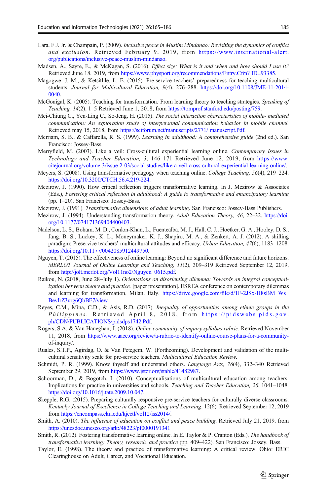- <span id="page-21-0"></span>Lara, F.J. Jr. & Champain, P. (2009). Inclusive peace in Muslim Mindanao: Revisiting the dynamics of conflict and exclusion. Retrieved February 9, 2019, from [https://www.international-alert.](https://doi.org/http://nosignificantdifference.org) [org/publications/inclusive-peace-muslim-mindanao](https://doi.org/http://nosignificantdifference.org).
- Madsen, A., Sayre, E., & McKagan, S. (2016). *Effect size: What is it and when and how should I use it?* Retrieved June 18, 2019, from [https://www.physport.org/recommendations/Entry.Cfm? ID=93385.](https://doi.org/http://nosignificantdifference.org)
- Magogwe, J. M., & Ketsitlile, L. E. (2015). Pre-service teachers' preparedness for teaching multicultural students. Journal for Multicultural Education, 9(4), 276–288. [https://doi.org/10.1108/JME-11-2014-](https://doi.org/10.1108/JME-11-2014-0040) [0040](https://doi.org/10.1108/JME-11-2014-0040).
- McGonigal, K. (2005). Teaching for transformation: From learning theory to teaching strategies. Speaking of Teaching, 14(2), 1–5 Retrieved June 1, 2018, from [https://tomprof.stanford.edu/posting/759](https://doi.org/http://nosignificantdifference.org).
- Mei-Chiung C., Yen-Ling C., So-Jeng, H. (2015). The social interaction characteristics of mobile- mediated communication: An exploration study of interpersonal communication behavior in mobile channel. Retrieved may 15, 2018, from [https://sciforum.net/manuscripts/2771/ manuscript.Pdf](https://doi.org/http://nosignificantdifference.org).
- Merriam, S. B., & Caffarella, R. S. (1999). Learning in adulthood: A comprehensive guide (2nd ed.). San Francisco: Jossey-Bass.
- Merryfield, M. (2003). Like a veil: Cross-cultural experiential learning online. Contemporary Issues in Technology and Teacher Education, 3, 146–171 Retrieved June 12, 2019, from [https://www.](https://doi.org/http://nosignificantdifference.org) [citejournal.org/volume-3/issue-2-03/social-studies/like-a-veil-cross-cultural-experiential-learning-online/](https://doi.org/http://nosignificantdifference.org).
- Meyers, S. (2008). Using transformative pedagogy when teaching online. College Teaching, 56(4), 219–224. [https://doi.org/10.3200/CTCH.56.4.219-224.](https://doi.org/10.3200/CTCH.56.4.219-224)
- Mezirow, J. (1990). How critical reflection triggers transformative learning. In J. Mezirow & Associates (Eds.), Fostering critical reflection in adulthood: A guide to transformative and emancipatory learning (pp. 1–20). San Francisco: Jossey-Bass.
- Mezirow, J. (1991). Transformative dimensions of adult learning. San Francisco: Jossey-Bass Publishers.
- Mezirow, J. (1994). Understanding transformation theory. Adult Education Theory, 46, 22-32. [https://doi.](https://doi.org/10.1177/074171369404400403) [org/10.1177/074171369404400403](https://doi.org/10.1177/074171369404400403).
- Nadelson, L. S., Boham, M. D., Conlon-Khan, L., Fuentealba, M. J., Hall, C. J., Hoetker, G. A., Hooley, D. S., Jang, B. S., Luckey, K. L., Moneymaker, K. J., Shapiro, M. A., & Zenkert, A. J. (2012). A shifting paradigm: Preservice teachers' multicultural attitudes and efficacy. Urban Education, 47(6), 1183–1208. <https://doi.org/10.1177/0042085912449750>.
- Nguyen, T. (2015). The effectiveness of online learning: Beyond no significant difference and future horizons. MERLOT Journal of Online Learning and Teaching, 11(2), 309–319 Retrieved September 12, 2019, from [http://jolt.merlot.org/Vol11no2/Nguyen\\_0615.pdf](https://doi.org/http://nosignificantdifference.org).
- Raikou, N. (2018, June 28–July 1). Orientations on disorienting dilemma: Towards an integral conceptualization between theory and practice. [paper presentation]. ESREA conference on contemporary dilemmas and learning for transformation, Milan, Italy. [https://drive.google.com/file/d/1F-2JSx-H8sBM\\_Ws\\_](https://doi.org/http://nosignificantdifference.org) [BevIrZ3urg6QbBF7/view](https://doi.org/http://nosignificantdifference.org)
- Reyes, C.M., Mina, C.D., & Asis, R.D. (2017). Inequality of opportunities among ethnic groups in the Philippines. Retrieved April 8, 2018, from [https://pidswebs.pids.gov.](https://doi.org/http://nosignificantdifference.org) [ph/CDN/PUBLICATIONS/pidsdps1742.Pdf.](https://doi.org/http://nosignificantdifference.org)
- Rogers, S.A. & Van Haneghan, J. (2018). Online community of inquiry syllabus rubric. Retrieved November 11, 2018, from [https://www.aace.org/review/a-rubric-to-identify-online-course-plans-for-a-community](https://doi.org/http://nosignificantdifference.org)of-inquiry/.
- Ruales, S.T.P., Agirdag, O. & Van Petegem, W. (Forthcoming). Development and validation of the multicultural sensitivity scale for pre-service teachers. Multicultural Education Review.
- Schmidt, P. R. (1999). Know thyself and understand others. Language Arts, 76(4), 332–340 Retrieved September 29, 2019, from [https://www.jstor.org/stable/41482987](https://doi.org/http://nosignificantdifference.org).
- Schoorman, D., & Bogotch, I. (2010). Conceptualisations of multicultural education among teachers: Implications for practice in universities and schools. Teaching and Teacher Education, 26, 1041–1048. <https://doi.org/10.1016/j.tate.2009.10.047>.
- Skepple, R.G. (2015). Preparing culturally responsive pre-service teachers for culturally diverse classrooms. Kentucky Journal of Excellence in College Teaching and Learning, 12(6). Retrieved September 12, 2019 from [https://encompass.eku.edu/kjectl/vol12/iss2014/.](https://doi.org/http://nosignificantdifference.org)
- Smith, A. (2010). The influence of education on conflict and peace building. Retrieved July 21, 2019, from [https://unesdoc.unesco.org/ark:/48223/pf0000191341](https://doi.org/http://nosignificantdifference.org)
- Smith, R. (2012). Fostering transformative learning online. In E. Taylor & P. Cranton (Eds.), The handbook of transformative learning: Theory, research, and practice (pp. 409–422). San Francisco: Jossey, Bass.
- Taylor, E. (1998). The theory and practice of transformative learning: A critical review. Ohio: ERIC Clearinghouse on Adult, Career, and Vocational Education.